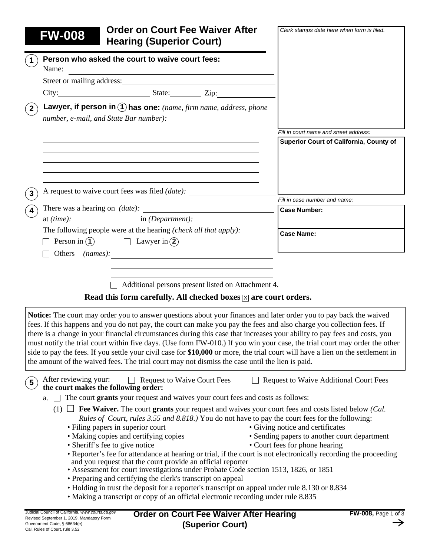| <b>Hearing (Superior Court)</b>                                                                                                                                                                                                                                                                                                                                                 |                                                                                  |
|---------------------------------------------------------------------------------------------------------------------------------------------------------------------------------------------------------------------------------------------------------------------------------------------------------------------------------------------------------------------------------|----------------------------------------------------------------------------------|
| Person who asked the court to waive court fees:<br>$\mathbf 1$                                                                                                                                                                                                                                                                                                                  |                                                                                  |
| Name:<br><u> 1989 - Johann Barn, amerikansk politiker (d. 1989)</u>                                                                                                                                                                                                                                                                                                             |                                                                                  |
| Street or mailing address:                                                                                                                                                                                                                                                                                                                                                      |                                                                                  |
|                                                                                                                                                                                                                                                                                                                                                                                 |                                                                                  |
| Lawyer, if person in (1) has one: (name, firm name, address, phone<br>$\left( \, {\bf 2} \, \right)$<br>number, e-mail, and State Bar number):                                                                                                                                                                                                                                  |                                                                                  |
|                                                                                                                                                                                                                                                                                                                                                                                 | Fill in court name and street address:                                           |
| the control of the control of the control of the control of the control of the control of the control of the control of the control of the control of the control of the control of the control of the control of the control                                                                                                                                                   | Superior Court of California, County of                                          |
| A request to waive court fees was filed <i>(date)</i> :<br>$\mathbf{3}$                                                                                                                                                                                                                                                                                                         |                                                                                  |
|                                                                                                                                                                                                                                                                                                                                                                                 | Fill in case number and name:                                                    |
| $\overline{\mathbf{4}}$<br>at $(time):$ in $(Department):$                                                                                                                                                                                                                                                                                                                      | <b>Case Number:</b>                                                              |
| The following people were at the hearing (check all that apply):                                                                                                                                                                                                                                                                                                                |                                                                                  |
| $\Box$ Person in $\Omega$ $\Box$ Lawyer in $\Omega$                                                                                                                                                                                                                                                                                                                             | <b>Case Name:</b>                                                                |
|                                                                                                                                                                                                                                                                                                                                                                                 |                                                                                  |
| $\Box$ Additional persons present listed on Attachment 4.<br>Read this form carefully. All checked boxes $ \overline{x} $ are court orders.                                                                                                                                                                                                                                     |                                                                                  |
| <b>Notice:</b> The court may order you to answer questions about your finances and later order you to pay back the waived<br>fees. If this happens and you do not pay, the court can make you pay the fees and also charge you collection fees. If<br>there is a change in your financial circumstances during this case that increases your ability to pay fees and costs, you |                                                                                  |
| must notify the trial court within five days. (Use form FW-010.) If you win your case, the trial court may order the other<br>side to pay the fees. If you settle your civil case for \$10,000 or more, the trial court will have a lien on the settlement in<br>the amount of the waived fees. The trial court may not dismiss the case until the lien is paid.                |                                                                                  |
| After reviewing your:<br><b>Request to Waive Court Fees</b><br>$\sqrt{5}$<br>the court makes the following order:                                                                                                                                                                                                                                                               | <b>Request to Waive Additional Court Fees</b>                                    |
| $\Box$ The court grants your request and waives your court fees and costs as follows:<br>a.                                                                                                                                                                                                                                                                                     |                                                                                  |
| Fee Waiver. The court grants your request and waives your court fees and costs listed below (Cal.<br>$(1)$ $\Box$                                                                                                                                                                                                                                                               |                                                                                  |
| <i>Rules of Court, rules 3.55 and 8.818.)</i> You do not have to pay the court fees for the following:                                                                                                                                                                                                                                                                          |                                                                                  |
| • Filing papers in superior court<br>• Making copies and certifying copies                                                                                                                                                                                                                                                                                                      | • Giving notice and certificates<br>• Sending papers to another court department |
| • Sheriff's fee to give notice                                                                                                                                                                                                                                                                                                                                                  | • Court fees for phone hearing                                                   |
| • Reporter's fee for attendance at hearing or trial, if the court is not electronically recording the proceeding                                                                                                                                                                                                                                                                |                                                                                  |
| and you request that the court provide an official reporter<br>• Assessment for court investigations under Probate Code section 1513, 1826, or 1851                                                                                                                                                                                                                             |                                                                                  |
| • Preparing and certifying the clerk's transcript on appeal                                                                                                                                                                                                                                                                                                                     |                                                                                  |
| • Holding in trust the deposit for a reporter's transcript on appeal under rule 8.130 or 8.834<br>• Making a transcript or copy of an official electronic recording under rule 8.835                                                                                                                                                                                            |                                                                                  |

 $\rightarrow$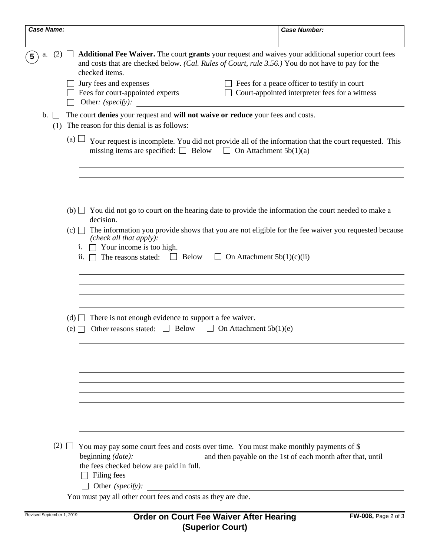| <b>Case Name:</b>       |                                                                                 | <b>Case Number:</b>                                                                                                                                                                                                                                                                                                                                                                                              |  |  |  |  |
|-------------------------|---------------------------------------------------------------------------------|------------------------------------------------------------------------------------------------------------------------------------------------------------------------------------------------------------------------------------------------------------------------------------------------------------------------------------------------------------------------------------------------------------------|--|--|--|--|
| $(2)$ $\Box$<br>a.<br>5 |                                                                                 | Additional Fee Waiver. The court grants your request and waives your additional superior court fees<br>and costs that are checked below. (Cal. Rules of Court, rule 3.56.) You do not have to pay for the<br>checked items.<br>Jury fees and expenses<br>Fees for a peace officer to testify in court<br>Fees for court-appointed experts<br>Court-appointed interpreter fees for a witness<br>Other: (specify): |  |  |  |  |
| b.                      | The court denies your request and will not waive or reduce your fees and costs. |                                                                                                                                                                                                                                                                                                                                                                                                                  |  |  |  |  |
| (1)                     |                                                                                 | The reason for this denial is as follows:                                                                                                                                                                                                                                                                                                                                                                        |  |  |  |  |
|                         | (a)                                                                             | Your request is incomplete. You did not provide all of the information that the court requested. This<br>missing items are specified: $\Box$ Below $\Box$ On Attachment 5b(1)(a)                                                                                                                                                                                                                                 |  |  |  |  |
|                         |                                                                                 |                                                                                                                                                                                                                                                                                                                                                                                                                  |  |  |  |  |
|                         |                                                                                 | (b) $\Box$ You did not go to court on the hearing date to provide the information the court needed to make a<br>decision.                                                                                                                                                                                                                                                                                        |  |  |  |  |
|                         | (c)<br>1.                                                                       | The information you provide shows that you are not eligible for the fee waiver you requested because<br>(check all that $apply$ ).<br>Your income is too high.                                                                                                                                                                                                                                                   |  |  |  |  |
|                         | ii.                                                                             | The reasons stated:<br><b>Below</b><br>$\perp$<br>On Attachment $5b(1)(c)(ii)$                                                                                                                                                                                                                                                                                                                                   |  |  |  |  |
|                         |                                                                                 |                                                                                                                                                                                                                                                                                                                                                                                                                  |  |  |  |  |
|                         | (d)<br>(e)                                                                      | There is not enough evidence to support a fee waiver.<br>Other reasons stated: $\Box$ Below<br>On Attachment $5b(1)(e)$                                                                                                                                                                                                                                                                                          |  |  |  |  |
|                         |                                                                                 |                                                                                                                                                                                                                                                                                                                                                                                                                  |  |  |  |  |
|                         |                                                                                 |                                                                                                                                                                                                                                                                                                                                                                                                                  |  |  |  |  |
|                         |                                                                                 |                                                                                                                                                                                                                                                                                                                                                                                                                  |  |  |  |  |
|                         |                                                                                 | (2) $\Box$ You may pay some court fees and costs over time. You must make monthly payments of \$<br>beginning $(data)$ :<br>and then payable on the 1st of each month after that, until<br>the fees checked below are paid in full.<br>Filing fees<br>Other (specify):                                                                                                                                           |  |  |  |  |
|                         |                                                                                 | You must pay all other court fees and costs as they are due.                                                                                                                                                                                                                                                                                                                                                     |  |  |  |  |